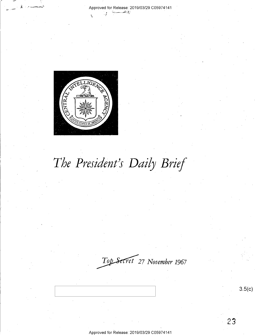

# *The President's Daily Brief*

*~27 November 1967* 

3.5(c)

Approved for Release: 2019/03/29 C0597 4141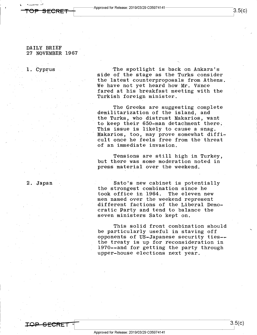### DAILY BRIEF 27 NOVEMBER 1967

TOP SECRET

1. Cyprus

'The spotlight is back on Ankara's side of the stage as the Turks consider the latest counterproposals from Athens. We have not yet heard how Mr. Vance fared at his breakfast meeting with the Turkish foreign minister.

The Greeks are suggesting complete demilitarization of the island, and the Turks, who distrust Makarios, want to keep their 650-man detachment there. This issue is likely to cause a snag. Makarios, too, may prove somewhat difficult once he feels free from the threat of an immediate invasion.

Tensions are still high in Turkey, but there was some moderation noted in press material over the weekend.

### 2. Japan

Sato's new cabinet is potentially the strongest combination since he<br>took office in 1964. The eleven new took office in 1964. men named over the weekend represent different factions of the Liberal Democratic Party and tend to balance the seven ministers Sato kept on.

This solid front combination should be particularly useful in staving off opponents of US-Japanese security ties-~ the treaty is up for reconsideration in 1970--and for getting the party through upper-house elections next year.

 $3.5(c)$ I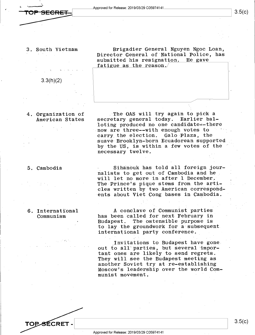### 3. South Vietnam

3.3(h)(2)

4. Organization of American States

### 5. Cambodia

### 6. International Communism

Brigadier General Nguyen Ngoc Loan, Director General of National Police, has submitted his resignation. He gave fatigue as the reason.

The OAS will try again to pick a secretary general today. Earlier balloting produced no one candidate--there now are three--with enough votes to carry the election. Galo·Plaza, the suave Brooklyn-born Ecuadorean supported by the US, is within a few votes of the necessary twelve.

Sihanouk has told all foreign journalists to get out of Cambodia and he will let no more in after 1 December. The Prince's pique stems from the articles written by two American correspondents about Viet Cong bases in Cambodia.

A conclave of Communist parties has been called for next February in Budapest. The ostensible purpose is to lay the groundwork for a subsequent. international party conference.

Invitations to Budapest have gone. out to a11·parties, but several important ones are likely to send regrets. They will see the Budapest meeting as another Soviet try at re-establishing Moscow's leadership over the world Communist movement.

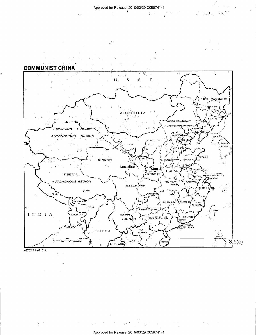$\sim 10$ 



68762 11-67 CIA

 $\mathcal{L}^{\mathcal{L}}(\mathcal{L}^{\mathcal{L}})$  and  $\mathcal{L}^{\mathcal{L}}(\mathcal{L}^{\mathcal{L}})$  and  $\mathcal{L}^{\mathcal{L}}(\mathcal{L}^{\mathcal{L}})$ 

 $\label{eq:2.1} \mathcal{L}_{\mathcal{A}}(\mathcal{A})=\mathcal{L}_{\mathcal{A}}(\mathcal{A})=\mathcal{L}_{\mathcal{A}}(\mathcal{A})=\mathcal{L}_{\mathcal{A}}(\mathcal{A})\mathcal{A}$ 

 $\mathcal{A}^{\mathcal{A}}$  and  $\mathcal{A}^{\mathcal{A}}$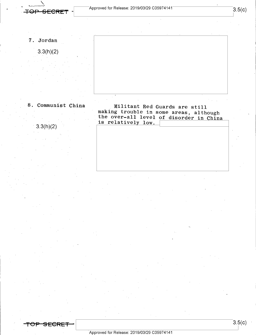TOP SECRET

7. Jordan

3.3(h)(2)

3.3(h)(2)

8. Communist China Militant Red Guards are still making trouble in some areas, although the over-all level of disorder in China is relatively low.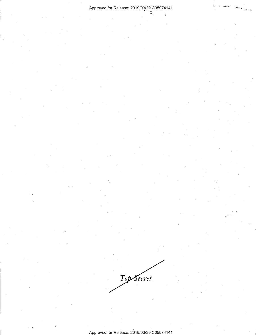$\frac{1}{2}$ 

Top Secret

Approved for Release: 2019/03/29 C05974141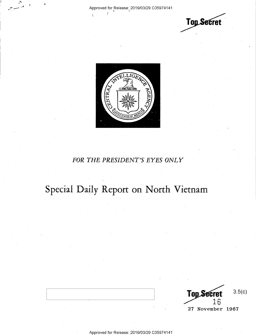



### FOR THE PRESIDENT'S EYES ONLY

## Special Daily Report on North Vietnam

 $3.5(c)$ Top Se LЬ 27 November 1967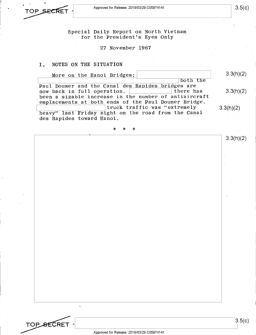

3.5(c)

Special Daily Report on North Vietnam for the President's Eyes Only

27 November 1967

### I. NOTES ON THE SITUATION

More on the Hanoi Bridges: More on the Hanoi Bridges:<br>
Paul Doumer and the Canal des Rapides bridges are now back in full operation.  $\vert$  there has been a sizable increase in the number of antiaircraft emplacements at both ends of the Paul Doumer Bridge. heavy" last Friday night on the road from the Canal des Rapides toward Hanoi. \* \* \* 3.3(h)(2) 3.3(h)(2) 3.3(h)(2) 3.3(h)(2)



3.5(c)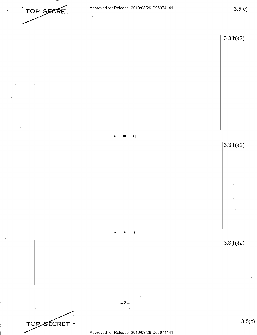

**3.5(c)**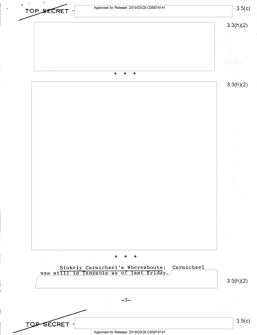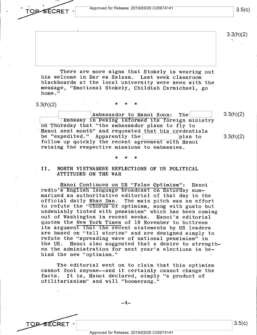**OBSECRET** 

There are more signs that Stokely is wearing out his welcome in Dar es Salaam. Last week classroom blackboards at the local university were seen with the message, "Emotional Stokely, Childish Carmichael, go home."

 $3.3(h)(2)$ 

Ambassador to Hanoi Soon: The ~--- m assy 1n Pe 1ng 1n orme 1 s oreign ministry on Thursday that "the ambassador plans to fly to ·Hanoi next month" and requested that his credentials be "expedited." Apparently the follow up quickly the recent agreement with Hanoi raising the respective missions to embassies.

\* \* \*

II. NORTH VIETNAMESE REFLECTIONS OF US POLITICAL ATTITUDES ON THE WAR

Hanoi Continues on US "False Optimism": Hanoi radio's English language broadcast on Saturday summarized an authoritative editorial of that day in the The main pitch was an effort to refute the "chorus of optimism, sung with gusto but undeniably tinted with pessimism" which has been coming out of Washington in recent weeks. quotes the New York Times of 19 November to buttress its argument that the recent statements by US leaders are based on "tall stories" and are designed simply to refute the "spreading wave of national pessimism" in the US. Hanoi also suggested that a desire to strengthen the administration for next year's elections is behind the new "optimism."

The editorial went on to claim that this optimism cannot fool anyone--and it certainly cannot change the facts. It is, Hanoi declared, simply "a product of utilitarianism" and will "boomerang."

3.3(h)(2)

3.3(h)(2)

3.3(h)(2)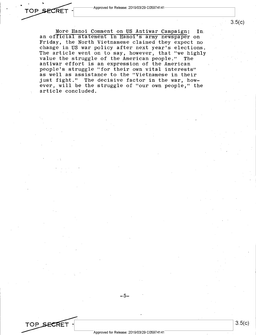TOP SECRET

TOP SECRET

More Hanoi Comment on US Antiwar Campaign: In, an official statement in Hanoi's army newspaper on Friday, the North Vietnamese claimed they expect no change in US war policy after next year's elections. The article went on to say, however, that "we highly value the struggle of the American people." The antiwar effort is an expression of the American people's struggle "for their own vital interests" as well as assistance to the "Vietnamese in their just fight." The decisive factor in the war, however, will be the struggle of "our own people," the article concluded.

-5-

3.5(c)